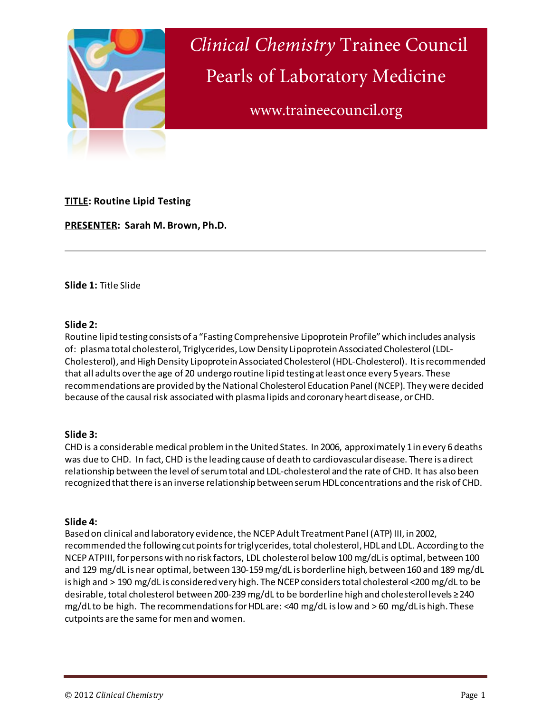

*Clinical Chemistry* Trainee Council Pearls of Laboratory Medicine

www.traineecouncil.org

# **TITLE: Routine Lipid Testing**

**PRESENTER: Sarah M. Brown, Ph.D.**

**Slide 1:** Title Slide

## **Slide 2:**

Routine lipid testing consists of a "Fasting Comprehensive Lipoprotein Profile" which includes analysis of: plasma total cholesterol, Triglycerides, Low Density Lipoprotein Associated Cholesterol (LDL-Cholesterol), and High Density Lipoprotein Associated Cholesterol (HDL-Cholesterol). It is recommended that all adults over the age of 20 undergo routine lipid testing at least once every 5 years. These recommendations are provided by the National Cholesterol Education Panel (NCEP). They were decided because of the causal risk associated with plasma lipids and coronary heart disease, or CHD.

# **Slide 3:**

CHD is a considerable medical problem in the United States. In 2006, approximately 1 in every 6 deaths was due to CHD. In fact, CHD is the leading cause of death to cardiovascular disease. There is a direct relationship between the level of serum total and LDL-cholesterol and the rate of CHD. It has also been recognized that there is an inverse relationship between serum HDL concentrations and the risk of CHD.

# **Slide 4:**

Based on clinical and laboratory evidence, the NCEP Adult Treatment Panel (ATP) III, in 2002, recommended the following cut points for triglycerides, total cholesterol, HDL and LDL. According to the NCEP ATPIII, for persons with no risk factors, LDL cholesterol below 100 mg/dL is optimal, between 100 and 129 mg/dL is near optimal, between 130-159mg/dL is borderline high, between 160 and 189 mg/dL is high and > 190 mg/dL is considered very high. The NCEP considers total cholesterol <200 mg/dL to be desirable, total cholesterol between 200-239mg/dL to be borderline high and cholesterol levels ≥ 240 mg/dL to be high. The recommendations for HDL are: <40 mg/dL is low and > 60 mg/dL is high. These cutpoints are the same for men and women.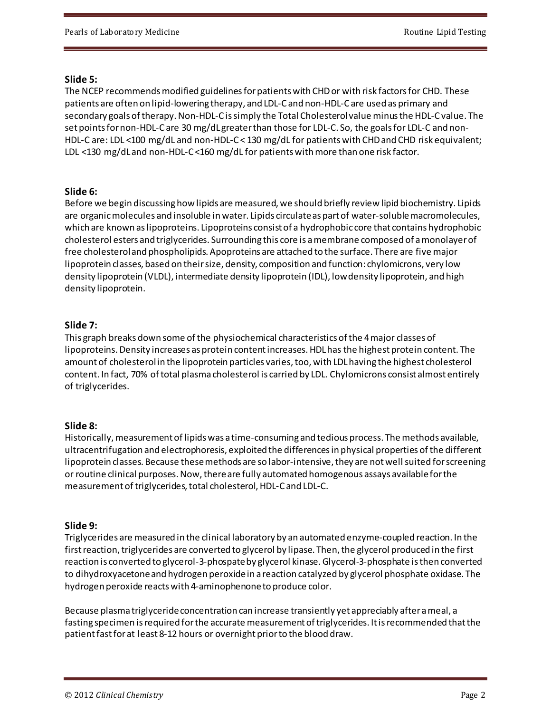## **Slide 5:**

The NCEP recommends modified guidelines for patients with CHD or with risk factors for CHD. These patients are often on lipid-lowering therapy, and LDL-C and non-HDL-C are used as primary and secondary goals of therapy. Non-HDL-C is simply the Total Cholesterol value minus the HDL-C value. The set points for non-HDL-C are 30 mg/dL greater than those for LDL-C. So, the goals for LDL-C and non-HDL-C are: LDL <100 mg/dL and non-HDL-C < 130 mg/dL for patients with CHD and CHD risk equivalent; LDL <130 mg/dLand non-HDL-C <160 mg/dL for patients with more than one risk factor.

## **Slide 6:**

Before we begin discussing how lipids are measured, we should briefly review lipid biochemistry. Lipids are organic molecules and insoluble in water. Lipids circulate as part of water-soluble macromolecules, which are known as lipoproteins. Lipoproteins consist of a hydrophobic core that contains hydrophobic cholesterol esters and triglycerides. Surrounding this core is a membrane composed of a monolayer of free cholesterol and phospholipids. Apoproteins are attached to the surface. There are five major lipoprotein classes, based on theirsize, density, composition and function: chylomicrons, very low density lipoprotein (VLDL), intermediate density lipoprotein (IDL), low density lipoprotein, and high density lipoprotein.

## **Slide 7:**

This graph breaks down some of the physiochemical characteristics of the 4 major classes of lipoproteins. Density increases as protein content increases. HDL has the highest protein content. The amount of cholesterol in the lipoprotein particles varies, too, with LDL having the highest cholesterol content. In fact, 70% of total plasma cholesterol is carried by LDL. Chylomicrons consist almost entirely of triglycerides.

# **Slide 8:**

Historically, measurement of lipids was a time-consuming and tedious process. The methods available, ultracentrifugation and electrophoresis, exploited the differences in physical properties of the different lipoprotein classes. Because these methods are so labor-intensive, they are not well suited for screening or routine clinical purposes. Now, there are fully automated homogenous assays available for the measurement of triglycerides, total cholesterol, HDL-C and LDL-C.

# **Slide 9:**

Triglycerides are measured in the clinical laboratory by an automated enzyme-coupled reaction. In the first reaction, triglycerides are converted to glycerol by lipase. Then, the glycerol produced in the first reaction is converted to glycerol-3-phospate by glycerol kinase. Glycerol-3-phosphate is then converted to dihydroxyacetone and hydrogen peroxide in a reaction catalyzed by glycerol phosphate oxidase. The hydrogen peroxide reacts with 4-aminophenone to produce color.

Because plasma triglyceride concentration can increase transiently yet appreciably after a meal, a fasting specimen is required forthe accurate measurement of triglycerides. It is recommended that the patient fast for at least 8-12 hours or overnight prior to the blood draw.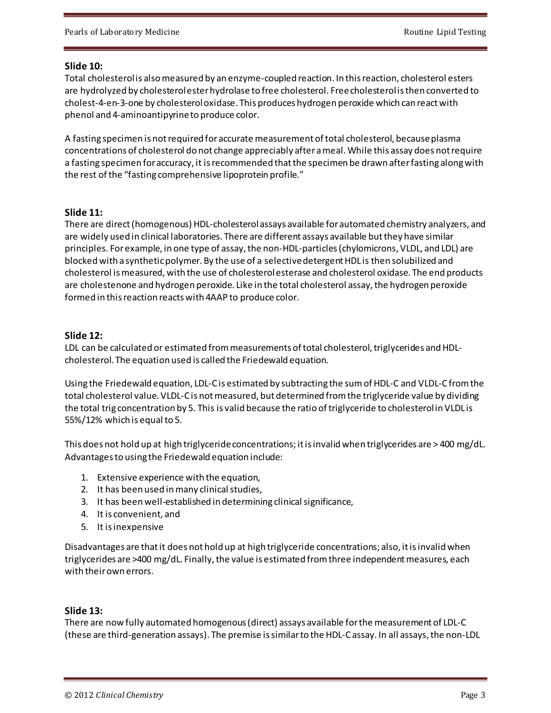#### **Slide 10:**

Total cholesterol is also measured by an enzyme-coupled reaction. In this reaction, cholesterol esters are hydrolyzed by cholesterol ester hydrolase to free cholesterol. Free cholesterol is then converted to cholest-4-en-3-one by cholesterol oxidase. This produces hydrogen peroxide which can react with phenol and 4-aminoantipyrine to produce color.

A fasting specimen is not required for accurate measurement of total cholesterol, because plasma concentrations of cholesterol do not change appreciably after a meal. While this assay does not require a fasting specimen for accuracy, it is recommended that the specimen be drawn after fasting along with the rest of the "fasting comprehensive lipoprotein profile."

## **Slide 11:**

There are direct (homogenous) HDL-cholesterol assays available for automated chemistry analyzers, and are widely used in clinical laboratories. There are different assays available but they have similar principles. For example, in one type of assay, the non-HDL-particles (chylomicrons, VLDL, and LDL) are blocked with a synthetic polymer. By the use of a selective detergent HDL is then solubilized and cholesterol is measured, with the use of cholesterol esterase and cholesterol oxidase. The end products are cholestenone and hydrogen peroxide. Like in the total cholesterol assay, the hydrogen peroxide formed in this reaction reacts with 4AAP to produce color.

## **Slide 12:**

LDL can be calculated or estimated from measurements of total cholesterol, triglycerides and HDLcholesterol. The equation used is called the Friedewald equation.

Using the Friedewald equation, LDL-C is estimated by subtracting the sum of HDL-C and VLDL-C from the total cholesterol value. VLDL-C is not measured, but determined from the triglyceride value by dividing the total trig concentration by 5. This is valid because the ratio of triglyceride to cholesterol in VLDL is 55%/12% which is equal to 5.

This does not hold up at high triglyceride concentrations; it is invalid when triglycerides are > 400 mg/dL. Advantages to using the Friedewald equation include:

- 1. Extensive experience with the equation,
- 2. It has been used in many clinical studies,
- 3. It has been well-established in determining clinical significance,
- 4. It is convenient, and
- 5. It isinexpensive

Disadvantages are that it does not hold up at high triglyceride concentrations; also, it is invalid when triglycerides are >400 mg/dL. Finally, the value is estimated from three independent measures, each with their own errors.

# **Slide 13:**

There are now fully automated homogenous (direct) assays available for the measurement of LDL-C (these are third-generation assays). The premise is similar to the HDL-C assay. In all assays, the non-LDL